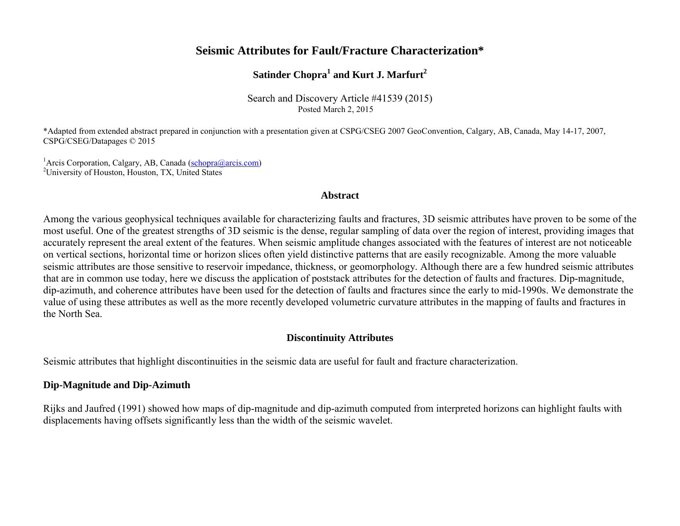# **Seismic Attributes for Fault/Fracture Characterization\***

# **Satinder Chopra<sup>1</sup> and Kurt J. Marfurt<sup>2</sup>**

Search and Discovery Article #41539 (2015) Posted March 2, 2015

\*Adapted from extended abstract prepared in conjunction with a presentation given at CSPG/CSEG 2007 GeoConvention, Calgary, AB, Canada, May 14-17, 2007, CSPG/CSEG/Datapages © 2015

<sup>1</sup>Arcis Corporation, Calgary, AB, Canada [\(schopra@arcis.com\)](mailto:schopra@arcis.com) <sup>2</sup>University of Houston, Houston, TX, United States

## **Abstract**

Among the various geophysical techniques available for characterizing faults and fractures, 3D seismic attributes have proven to be some of the most useful. One of the greatest strengths of 3D seismic is the dense, regular sampling of data over the region of interest, providing images that accurately represent the areal extent of the features. When seismic amplitude changes associated with the features of interest are not noticeable on vertical sections, horizontal time or horizon slices often yield distinctive patterns that are easily recognizable. Among the more valuable seismic attributes are those sensitive to reservoir impedance, thickness, or geomorphology. Although there are a few hundred seismic attributes that are in common use today, here we discuss the application of poststack attributes for the detection of faults and fractures. Dip-magnitude, dip-azimuth, and coherence attributes have been used for the detection of faults and fractures since the early to mid-1990s. We demonstrate the value of using these attributes as well as the more recently developed volumetric curvature attributes in the mapping of faults and fractures in the North Sea.

## **Discontinuity Attributes**

Seismic attributes that highlight discontinuities in the seismic data are useful for fault and fracture characterization.

## **Dip-Magnitude and Dip-Azimuth**

Rijks and Jaufred (1991) showed how maps of dip-magnitude and dip-azimuth computed from interpreted horizons can highlight faults with displacements having offsets significantly less than the width of the seismic wavelet.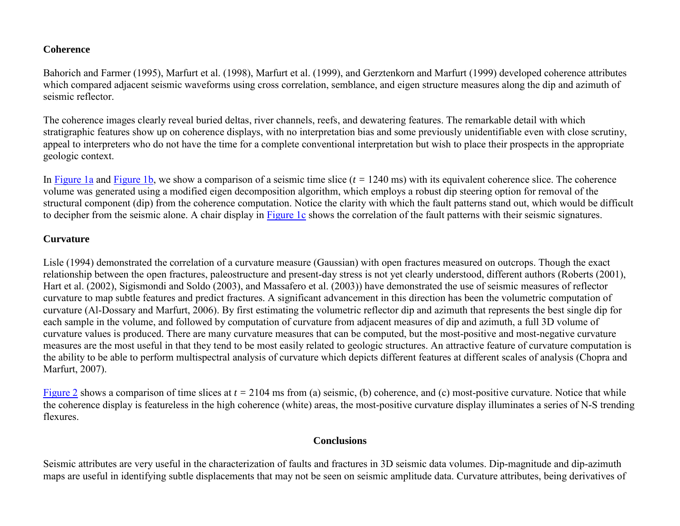## **Coherence**

Bahorich and Farmer (1995), Marfurt et al. (1998), Marfurt et al. (1999), and Gerztenkorn and Marfurt (1999) developed coherence attributes which compared adjacent seismic waveforms using cross correlation, semblance, and eigen structure measures along the dip and azimuth of seismic reflector.

The coherence images clearly reveal buried deltas, river channels, reefs, and dewatering features. The remarkable detail with which stratigraphic features show up on coherence displays, with no interpretation bias and some previously unidentifiable even with close scrutiny, appeal to interpreters who do not have the time for a complete conventional interpretation but wish to place their prospects in the appropriate geologic context.

In [Figure 1a](#page-4-0) and [Figure 1b,](#page-4-0) we show a comparison of a seismic time slice (*t =* 1240 ms) with its equivalent coherence slice. The coherence volume was generated using a modified eigen decomposition algorithm, which employs a robust dip steering option for removal of the structural component (dip) from the coherence computation. Notice the clarity with which the fault patterns stand out, which would be difficult to decipher from the seismic alone. A chair display in [Figure 1c](#page-4-0) shows the correlation of the fault patterns with their seismic signatures.

## **Curvature**

Lisle (1994) demonstrated the correlation of a curvature measure (Gaussian) with open fractures measured on outcrops. Though the exact relationship between the open fractures, paleostructure and present-day stress is not yet clearly understood, different authors (Roberts (2001), Hart et al. (2002), Sigismondi and Soldo (2003), and Massafero et al. (2003)) have demonstrated the use of seismic measures of reflector curvature to map subtle features and predict fractures. A significant advancement in this direction has been the volumetric computation of curvature (Al-Dossary and Marfurt, 2006). By first estimating the volumetric reflector dip and azimuth that represents the best single dip for each sample in the volume, and followed by computation of curvature from adjacent measures of dip and azimuth, a full 3D volume of curvature values is produced. There are many curvature measures that can be computed, but the most-positive and most-negative curvature measures are the most useful in that they tend to be most easily related to geologic structures. An attractive feature of curvature computation is the ability to be able to perform multispectral analysis of curvature which depicts different features at different scales of analysis (Chopra and Marfurt, 2007).

[Figure 2](#page-5-0) shows a comparison of time slices at *t =* 2104 ms from (a) seismic, (b) coherence, and (c) most-positive curvature. Notice that while the coherence display is featureless in the high coherence (white) areas, the most-positive curvature display illuminates a series of N-S trending flexures.

## **Conclusions**

Seismic attributes are very useful in the characterization of faults and fractures in 3D seismic data volumes. Dip-magnitude and dip-azimuth maps are useful in identifying subtle displacements that may not be seen on seismic amplitude data. Curvature attributes, being derivatives of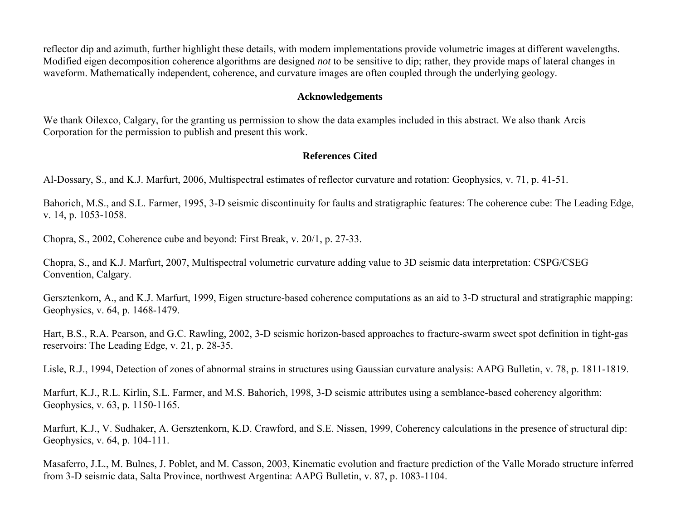reflector dip and azimuth, further highlight these details, with modern implementations provide volumetric images at different wavelengths. Modified eigen decomposition coherence algorithms are designed *not* to be sensitive to dip; rather, they provide maps of lateral changes in waveform. Mathematically independent, coherence, and curvature images are often coupled through the underlying geology.

#### **Acknowledgements**

We thank Oilexco, Calgary, for the granting us permission to show the data examples included in this abstract. We also thank Arcis Corporation for the permission to publish and present this work.

## **References Cited**

Al-Dossary, S., and K.J. Marfurt, 2006, Multispectral estimates of reflector curvature and rotation: Geophysics, v. 71, p. 41-51.

Bahorich, M.S., and S.L. Farmer, 1995, 3-D seismic discontinuity for faults and stratigraphic features: The coherence cube: The Leading Edge, v. 14, p. 1053-1058.

Chopra, S., 2002, Coherence cube and beyond: First Break, v. 20/1, p. 27-33.

Chopra, S., and K.J. Marfurt, 2007, Multispectral volumetric curvature adding value to 3D seismic data interpretation: CSPG/CSEG Convention, Calgary.

Gersztenkorn, A., and K.J. Marfurt, 1999, Eigen structure-based coherence computations as an aid to 3-D structural and stratigraphic mapping: Geophysics, v. 64, p. 1468-1479.

Hart, B.S., R.A. Pearson, and G.C. Rawling, 2002, 3-D seismic horizon-based approaches to fracture-swarm sweet spot definition in tight-gas reservoirs: The Leading Edge, v. 21, p. 28-35.

Lisle, R.J., 1994, Detection of zones of abnormal strains in structures using Gaussian curvature analysis: AAPG Bulletin, v. 78, p. 1811-1819.

Marfurt, K.J., R.L. Kirlin, S.L. Farmer, and M.S. Bahorich, 1998, 3-D seismic attributes using a semblance-based coherency algorithm: Geophysics, v. 63, p. 1150-1165.

Marfurt, K.J., V. Sudhaker, A. Gersztenkorn, K.D. Crawford, and S.E. Nissen, 1999, Coherency calculations in the presence of structural dip: Geophysics, v. 64, p. 104-111.

Masaferro, J.L., M. Bulnes, J. Poblet, and M. Casson, 2003, Kinematic evolution and fracture prediction of the Valle Morado structure inferred from 3-D seismic data, Salta Province, northwest Argentina: AAPG Bulletin, v. 87, p. 1083-1104.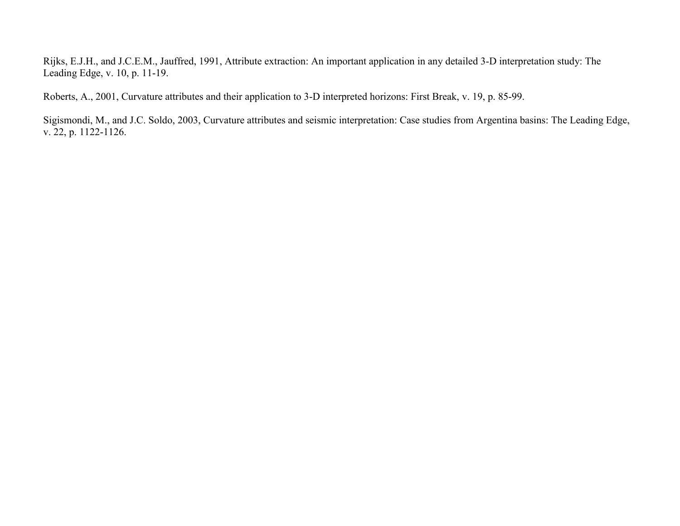Rijks, E.J.H., and J.C.E.M., Jauffred, 1991, Attribute extraction: An important application in any detailed 3-D interpretation study: The Leading Edge, v. 10, p. 11-19.

Roberts, A., 2001, Curvature attributes and their application to 3-D interpreted horizons: First Break, v. 19, p. 85-99.

Sigismondi, M., and J.C. Soldo, 2003, Curvature attributes and seismic interpretation: Case studies from Argentina basins: The Leading Edge, v. 22, p. 1122-1126.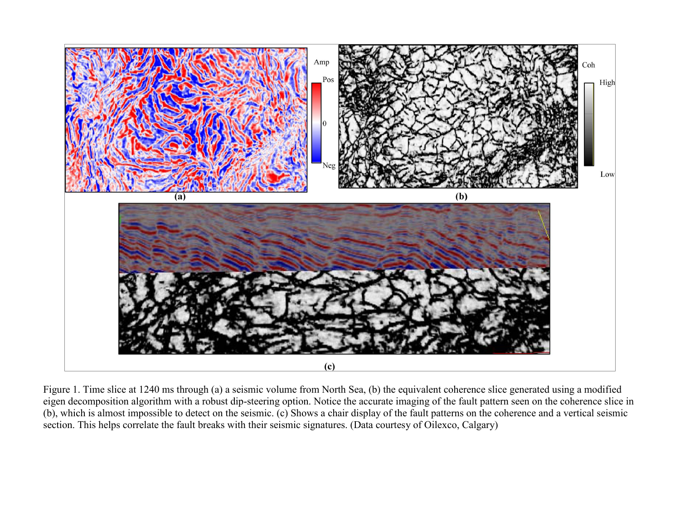<span id="page-4-0"></span>

Figure 1. Time slice at 1240 ms through (a) a seismic volume from North Sea, (b) the equivalent coherence slice generated using a modified eigen decomposition algorithm with a robust dip-steering option. Notice the accurate imaging of the fault pattern seen on the coherence slice in (b), which is almost impossible to detect on the seismic. (c) Shows a chair display of the fault patterns on the coherence and a vertical seismic section. This helps correlate the fault breaks with their seismic signatures. (Data courtesy of Oilexco, Calgary)